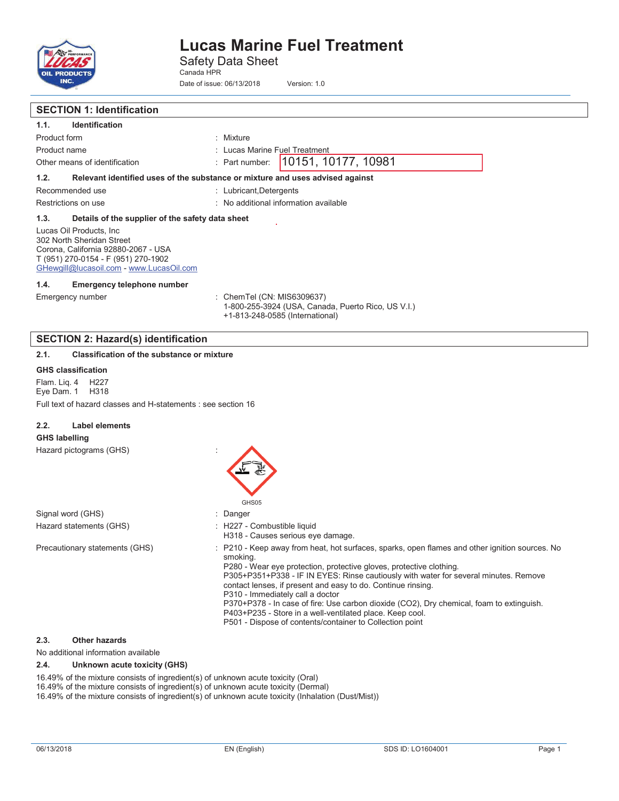

Safety Data Sheet Canada HPR

Date of issue: 06/13/2018 Version: 1.0

### **SECTION 1: Identification 1.1. Identification**  Product form : Mixture Product name **in the set of the Contract Contract Contract Contract Contract Contract Contract Contract Contract Contract Contract Contract Contract Contract Contract Contract Contract Contract Contract Contract Contract C** Other means of identification : Part number: **1.2. Relevant identified uses of the substance or mixture and uses advised against**  Recommended use : Lubricant,Detergents Restrictions on use **intervalled** in the set of the set of the set of the set of the set of the set of the set of the set of the set of the set of the set of the set of the set of the set of the set of the set of the set o **1.3. Details of the supplier of the safety data sheet**  Lucas Oil Products, Inc 302 North Sheridan Street Corona, California 92880-2067 - USA T (951) 270-0154 - F (951) 270-1902 GHewgill@lucasoil.com - www.LucasOil.com **1.4. Emergency telephone number**  Emergency number : ChemTel (CN: MIS6309637) 1-800-255-3924 (USA, Canada, Puerto Rico, US V.I.) +1-813-248-0585 (International) **SECTION 2: Hazard(s) identification 2.1. Classification of the substance or mixture GHS classification**  Flam. Liq. 4 H227 Eye Dam. 1 H318 Full text of hazard classes and H-statements : see section 16 **2.2. Label elements GHS labelling**  Hazard pictograms (GHS) : GHS05 Signal word (GHS) **in the state of the Signal word (GHS)** and the state of the state of the state of the state of the state of the state of the state of the state of the state of the state of the state of the state of the Hazard statements (GHS)  $\qquad \qquad$ : H227 - Combustible liquid H318 - Causes serious eye damage. Precautionary statements (GHS) : P210 - Keep away from heat, hot surfaces, sparks, open flames and other ignition sources. No smoking. P280 - Wear eye protection, protective gloves, protective clothing. P305+P351+P338 - IF IN EYES: Rinse cautiously with water for several minutes. Remove contact lenses, if present and easy to do. Continue rinsing. P310 - Immediately call a doctor P370+P378 - In case of fire: Use carbon dioxide (CO2), Dry chemical, foam to extinguish. P403+P235 - Store in a well-ventilated place. Keep cool. P501 - Dispose of contents/container to Collection point **2.3. Other hazards**  No additional information available 10151, 10177, 10981

**2.4. Unknown acute toxicity (GHS)** 

16.49% of the mixture consists of ingredient(s) of unknown acute toxicity (Oral)

16.49% of the mixture consists of ingredient(s) of unknown acute toxicity (Dermal)

16.49% of the mixture consists of ingredient(s) of unknown acute toxicity (Inhalation (Dust/Mist))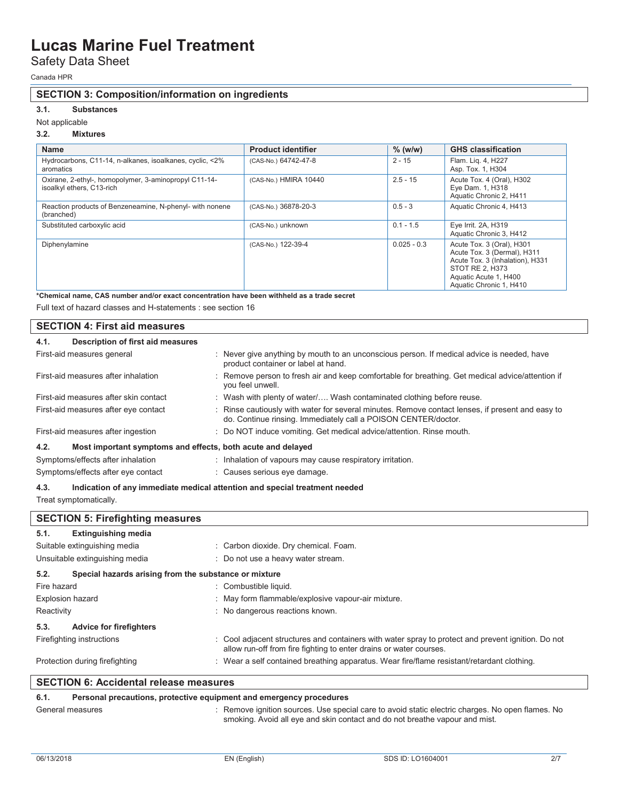### Safety Data Sheet

Canada HPR

### **SECTION 3: Composition/information on ingredients**

### **3.1. Substances**

#### Not applicable

### **3.2. Mixtures**

| <b>Name</b>                                                                        | <b>Product identifier</b> | $%$ (w/w)     | <b>GHS classification</b>                                                                                                                                          |
|------------------------------------------------------------------------------------|---------------------------|---------------|--------------------------------------------------------------------------------------------------------------------------------------------------------------------|
| Hydrocarbons, C11-14, n-alkanes, isoalkanes, cyclic, <2%<br>aromatics              | (CAS-No.) 64742-47-8      | $2 - 15$      | Flam. Liq. 4, H227<br>Asp. Tox. 1, H304                                                                                                                            |
| Oxirane, 2-ethyl-, homopolymer, 3-aminopropyl C11-14-<br>isoalkyl ethers, C13-rich | (CAS-No.) HMIRA 10440     | $2.5 - 15$    | Acute Tox. 4 (Oral), H302<br>Eye Dam. 1, H318<br>Aquatic Chronic 2, H411                                                                                           |
| Reaction products of Benzeneamine, N-phenyl- with nonene<br>(branched)             | (CAS-No.) 36878-20-3      | $0.5 - 3$     | Aquatic Chronic 4, H413                                                                                                                                            |
| Substituted carboxylic acid                                                        | (CAS-No.) unknown         | $0.1 - 1.5$   | Eye Irrit. 2A, H319<br>Aquatic Chronic 3, H412                                                                                                                     |
| Diphenylamine                                                                      | (CAS-No.) 122-39-4        | $0.025 - 0.3$ | Acute Tox. 3 (Oral), H301<br>Acute Tox. 3 (Dermal), H311<br>Acute Tox. 3 (Inhalation), H331<br>STOT RE 2, H373<br>Aquatic Acute 1, H400<br>Aquatic Chronic 1, H410 |

**\*Chemical name, CAS number and/or exact concentration have been withheld as a trade secret** 

Full text of hazard classes and H-statements : see section 16

| <b>SECTION 4: First aid measures</b>                                |                                                                                                                                                                    |
|---------------------------------------------------------------------|--------------------------------------------------------------------------------------------------------------------------------------------------------------------|
| Description of first aid measures<br>4.1.                           |                                                                                                                                                                    |
| First-aid measures general                                          | : Never give anything by mouth to an unconscious person. If medical advice is needed, have<br>product container or label at hand.                                  |
| First-aid measures after inhalation                                 | : Remove person to fresh air and keep comfortable for breathing. Get medical advice/attention if<br>you feel unwell.                                               |
| First-aid measures after skin contact                               | : Wash with plenty of water/ Wash contaminated clothing before reuse.                                                                                              |
| First-aid measures after eye contact                                | : Rinse cautiously with water for several minutes. Remove contact lenses, if present and easy to<br>do. Continue rinsing. Immediately call a POISON CENTER/doctor. |
| First-aid measures after ingestion                                  | : Do NOT induce vomiting. Get medical advice/attention. Rinse mouth.                                                                                               |
| Most important symptoms and effects, both acute and delayed<br>4.2. |                                                                                                                                                                    |
| Symptoms/effects after inhalation                                   | : Inhalation of vapours may cause respiratory irritation.                                                                                                          |
| Symptoms/effects after eye contact                                  | : Causes serious eye damage.                                                                                                                                       |

#### **4.3. Indication of any immediate medical attention and special treatment needed**

Treat symptomatically.

|                         | <b>SECTION 5: Firefighting measures</b>               |                                                                                                                                                                          |
|-------------------------|-------------------------------------------------------|--------------------------------------------------------------------------------------------------------------------------------------------------------------------------|
| 5.1.                    | <b>Extinguishing media</b>                            |                                                                                                                                                                          |
|                         | Suitable extinguishing media                          | : Carbon dioxide. Dry chemical. Foam.                                                                                                                                    |
|                         | Unsuitable extinguishing media                        | : Do not use a heavy water stream.                                                                                                                                       |
| 5.2.                    | Special hazards arising from the substance or mixture |                                                                                                                                                                          |
| Fire hazard             |                                                       | : Combustible liquid.                                                                                                                                                    |
| <b>Explosion hazard</b> |                                                       | : May form flammable/explosive vapour-air mixture.                                                                                                                       |
| Reactivity              |                                                       | : No dangerous reactions known.                                                                                                                                          |
| 5.3.                    | <b>Advice for firefighters</b>                        |                                                                                                                                                                          |
|                         | Firefighting instructions                             | : Cool adjacent structures and containers with water spray to protect and prevent ignition. Do not<br>allow run-off from fire fighting to enter drains or water courses. |
|                         | Protection during firefighting                        | : Wear a self contained breathing apparatus. Wear fire/flame resistant/retardant clothing.                                                                               |
|                         | <b>SECTION 6: Accidental release measures</b>         |                                                                                                                                                                          |

| <b>SECTION 6: Accidental release measures</b> |                                                                     |                                                                                                                                                                                 |
|-----------------------------------------------|---------------------------------------------------------------------|---------------------------------------------------------------------------------------------------------------------------------------------------------------------------------|
| 6.1.                                          | Personal precautions, protective equipment and emergency procedures |                                                                                                                                                                                 |
| General measures                              |                                                                     | : Remove ignition sources. Use special care to avoid static electric charges. No open flames. No<br>smoking. Avoid all eye and skin contact and do not breathe vapour and mist. |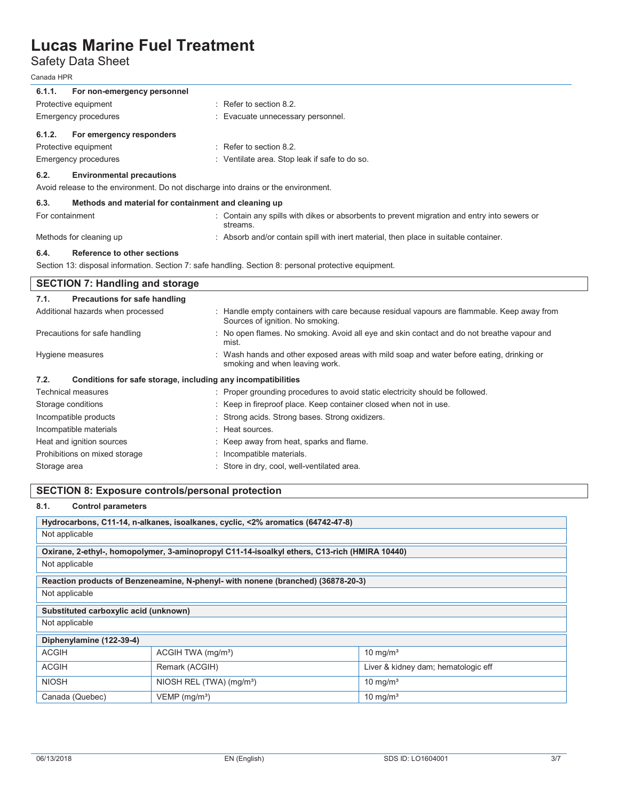Safety Data Sheet

Canada HPR

| 6.1.1.<br>For non-emergency personnel                                              |                                                                                                                                |
|------------------------------------------------------------------------------------|--------------------------------------------------------------------------------------------------------------------------------|
| Protective equipment                                                               | : Refer to section 8.2.                                                                                                        |
| <b>Emergency procedures</b>                                                        | Evacuate unnecessary personnel.                                                                                                |
| 6.1.2.<br>For emergency responders                                                 |                                                                                                                                |
| Protective equipment                                                               | $\therefore$ Refer to section 8.2.                                                                                             |
| <b>Emergency procedures</b>                                                        | : Ventilate area. Stop leak if safe to do so.                                                                                  |
| <b>Environmental precautions</b><br>6.2.                                           |                                                                                                                                |
| Avoid release to the environment. Do not discharge into drains or the environment. |                                                                                                                                |
| 6.3.<br>Methods and material for containment and cleaning up                       |                                                                                                                                |
| For containment                                                                    | : Contain any spills with dikes or absorbents to prevent migration and entry into sewers or<br>streams.                        |
| Methods for cleaning up                                                            | : Absorb and/or contain spill with inert material, then place in suitable container.                                           |
| <b>SECTION 7: Handling and storage</b>                                             | Section 13: disposal information. Section 7: safe handling. Section 8: personal protective equipment.                          |
| <b>Precautions for safe handling</b><br>7.1.                                       |                                                                                                                                |
| Additional hazards when processed                                                  | : Handle empty containers with care because residual vapours are flammable. Keep away from<br>Sources of ignition. No smoking. |
| Precautions for safe handling                                                      | : No open flames. No smoking. Avoid all eye and skin contact and do not breathe vapour and<br>mist.                            |
| Hygiene measures                                                                   | Wash hands and other exposed areas with mild soap and water before eating, drinking or<br>smoking and when leaving work.       |
| Conditions for safe storage, including any incompatibilities<br>7.2.               |                                                                                                                                |
| <b>Technical measures</b>                                                          | : Proper grounding procedures to avoid static electricity should be followed.                                                  |
| Storage conditions                                                                 | : Keep in fireproof place. Keep container closed when not in use.                                                              |
| Incompatible products                                                              | Strong acids. Strong bases. Strong oxidizers.                                                                                  |
| Incompatible materials                                                             | Heat sources.                                                                                                                  |
| Heat and ignition sources                                                          | Keep away from heat, sparks and flame.                                                                                         |
| Prohibitions on mixed storage                                                      | Incompatible materials.                                                                                                        |
| Storage area                                                                       | Store in dry, cool, well-ventilated area.                                                                                      |

### **SECTION 8: Exposure controls/personal protection**

### **8.1. Control parameters**

| Hydrocarbons, C11-14, n-alkanes, isoalkanes, cyclic, <2% aromatics (64742-47-8) |                                                                                              |                                     |  |  |
|---------------------------------------------------------------------------------|----------------------------------------------------------------------------------------------|-------------------------------------|--|--|
| Not applicable                                                                  |                                                                                              |                                     |  |  |
|                                                                                 | Oxirane, 2-ethyl-, homopolymer, 3-aminopropyl C11-14-isoalkyl ethers, C13-rich (HMIRA 10440) |                                     |  |  |
| Not applicable                                                                  |                                                                                              |                                     |  |  |
|                                                                                 | Reaction products of Benzeneamine, N-phenyl- with nonene (branched) (36878-20-3)             |                                     |  |  |
| Not applicable                                                                  |                                                                                              |                                     |  |  |
| Substituted carboxylic acid (unknown)                                           |                                                                                              |                                     |  |  |
| Not applicable                                                                  |                                                                                              |                                     |  |  |
| Diphenylamine (122-39-4)                                                        |                                                                                              |                                     |  |  |
| <b>ACGIH</b>                                                                    | ACGIH TWA (mg/m <sup>3</sup> )                                                               | 10 mg/m <sup>3</sup>                |  |  |
| <b>ACGIH</b>                                                                    | Remark (ACGIH)                                                                               | Liver & kidney dam; hematologic eff |  |  |
| <b>NIOSH</b>                                                                    | NIOSH REL (TWA) (mg/m <sup>3</sup> )                                                         | 10 mg/m <sup>3</sup>                |  |  |
| Canada (Quebec)                                                                 | VEMP (mg/m <sup>3</sup> )                                                                    | $10 \text{ mg/m}^3$                 |  |  |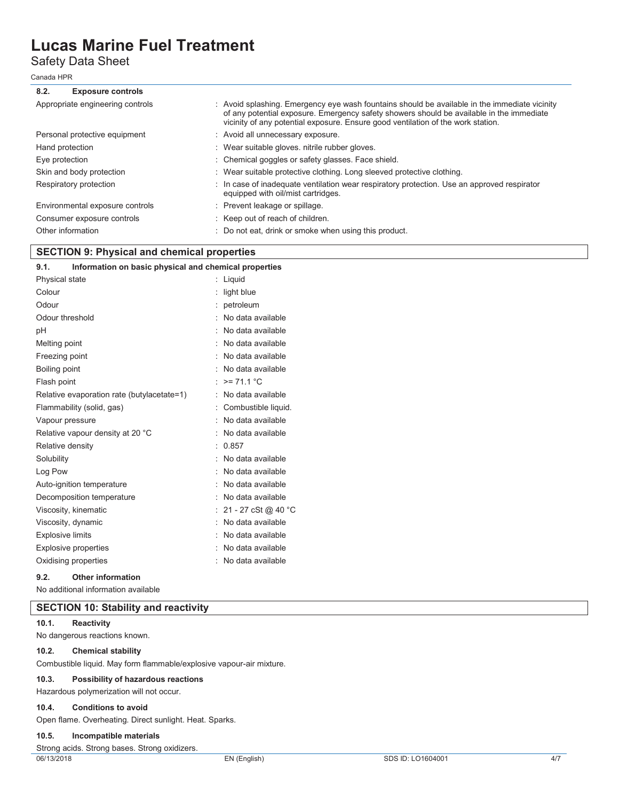Safety Data Sheet

Canada HPR

### **8.2. Exposure controls**

| : Avoid splashing. Emergency eye wash fountains should be available in the immediate vicinity<br>of any potential exposure. Emergency safety showers should be available in the immediate<br>vicinity of any potential exposure. Ensure good ventilation of the work station. |
|-------------------------------------------------------------------------------------------------------------------------------------------------------------------------------------------------------------------------------------------------------------------------------|
| : Avoid all unnecessary exposure.                                                                                                                                                                                                                                             |
| : Wear suitable gloves, nitrile rubber gloves.                                                                                                                                                                                                                                |
| : Chemical goggles or safety glasses. Face shield.                                                                                                                                                                                                                            |
| : Wear suitable protective clothing. Long sleeved protective clothing.                                                                                                                                                                                                        |
| : In case of inadequate ventilation wear respiratory protection. Use an approved respirator<br>equipped with oil/mist cartridges.                                                                                                                                             |
| : Prevent leakage or spillage.                                                                                                                                                                                                                                                |
| : Keep out of reach of children.                                                                                                                                                                                                                                              |
| : Do not eat, drink or smoke when using this product.                                                                                                                                                                                                                         |
|                                                                                                                                                                                                                                                                               |

### **SECTION 9: Physical and chemical properties**

| 9.1.<br>Information on basic physical and chemical properties |    |                     |
|---------------------------------------------------------------|----|---------------------|
| Physical state                                                | t. | Liquid              |
| Colour                                                        |    | light blue          |
| Odour                                                         |    | petroleum           |
| Odour threshold                                               |    | No data available   |
| рH                                                            |    | No data available   |
| Melting point                                                 |    | No data available   |
| Freezing point                                                |    | No data available   |
| Boiling point                                                 |    | No data available   |
| Flash point                                                   |    | $>= 71.1 °C$        |
| Relative evaporation rate (butylacetate=1)                    |    | No data available   |
| Flammability (solid, gas)                                     |    | Combustible liquid. |
| Vapour pressure                                               |    | No data available   |
| Relative vapour density at 20 °C                              |    | No data available   |
| Relative density                                              |    | 0.857               |
| Solubility                                                    |    | No data available   |
| Log Pow                                                       |    | No data available   |
| Auto-ignition temperature                                     |    | No data available   |
| Decomposition temperature                                     |    | No data available   |
| Viscosity, kinematic                                          |    | 21 - 27 cSt @ 40 °C |
| Viscosity, dynamic                                            |    | No data available   |
| <b>Explosive limits</b>                                       |    | No data available   |
| Explosive properties                                          | ۰. | No data available   |
| Oxidising properties                                          |    | No data available   |
|                                                               |    |                     |

#### **9.2. Other information**

No additional information available

### **SECTION 10: Stability and reactivity**

#### **10.1. Reactivity**

No dangerous reactions known.

### **10.2. Chemical stability**

Combustible liquid. May form flammable/explosive vapour-air mixture.

### **10.3. Possibility of hazardous reactions**

Hazardous polymerization will not occur.

#### **10.4. Conditions to avoid**

Open flame. Overheating. Direct sunlight. Heat. Sparks.

### **10.5. Incompatible materials**

Strong acids. Strong bases. Strong oxidizers.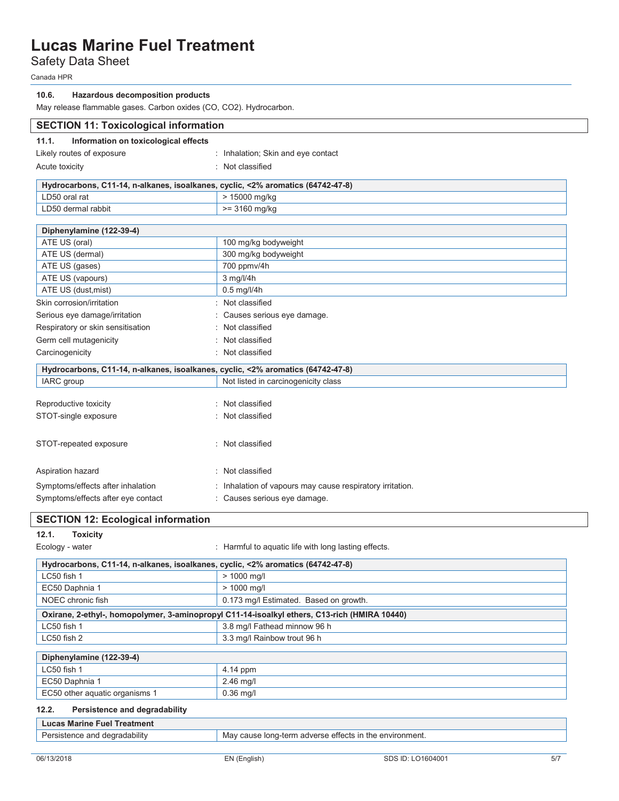Safety Data Sheet

Canada HPR

| 10.6. | Hazardous decomposition products |  |
|-------|----------------------------------|--|
|-------|----------------------------------|--|

May release flammable gases. Carbon oxides (CO, CO2). Hydrocarbon.

| <b>SECTION 11: Toxicological information</b>                                    |                                                                                              |  |
|---------------------------------------------------------------------------------|----------------------------------------------------------------------------------------------|--|
| Information on toxicological effects<br>11.1.                                   |                                                                                              |  |
| Likely routes of exposure                                                       | : Inhalation; Skin and eye contact                                                           |  |
| Acute toxicity                                                                  | : Not classified                                                                             |  |
|                                                                                 |                                                                                              |  |
| Hydrocarbons, C11-14, n-alkanes, isoalkanes, cyclic, <2% aromatics (64742-47-8) |                                                                                              |  |
| LD50 oral rat                                                                   | > 15000 mg/kg                                                                                |  |
| LD50 dermal rabbit                                                              | $= 3160$ mg/kg                                                                               |  |
| Diphenylamine (122-39-4)                                                        |                                                                                              |  |
| ATE US (oral)                                                                   | 100 mg/kg bodyweight                                                                         |  |
| ATE US (dermal)                                                                 | 300 mg/kg bodyweight                                                                         |  |
| ATE US (gases)                                                                  | 700 ppmv/4h                                                                                  |  |
| ATE US (vapours)                                                                | 3 mg/l/4h                                                                                    |  |
| ATE US (dust, mist)                                                             | $0.5$ mg/l/4h                                                                                |  |
| Skin corrosion/irritation                                                       | : Not classified                                                                             |  |
| Serious eye damage/irritation                                                   | : Causes serious eye damage.                                                                 |  |
| Respiratory or skin sensitisation                                               | : Not classified                                                                             |  |
| Germ cell mutagenicity                                                          | : Not classified                                                                             |  |
|                                                                                 |                                                                                              |  |
| Carcinogenicity                                                                 | : Not classified                                                                             |  |
| Hydrocarbons, C11-14, n-alkanes, isoalkanes, cyclic, <2% aromatics (64742-47-8) |                                                                                              |  |
| IARC group                                                                      | Not listed in carcinogenicity class                                                          |  |
|                                                                                 |                                                                                              |  |
| Reproductive toxicity                                                           | : Not classified                                                                             |  |
| STOT-single exposure                                                            | : Not classified                                                                             |  |
| STOT-repeated exposure                                                          | : Not classified                                                                             |  |
| Aspiration hazard                                                               | : Not classified                                                                             |  |
| Symptoms/effects after inhalation                                               | : Inhalation of vapours may cause respiratory irritation.                                    |  |
| Symptoms/effects after eye contact                                              | : Causes serious eye damage.                                                                 |  |
| <b>SECTION 12: Ecological information</b>                                       |                                                                                              |  |
| 12.1.<br><b>Toxicity</b>                                                        |                                                                                              |  |
| Ecology - water                                                                 | : Harmful to aquatic life with long lasting effects.                                         |  |
| Hydrocarbons, C11-14, n-alkanes, isoalkanes, cyclic, <2% aromatics (64742-47-8) |                                                                                              |  |
| LC50 fish 1                                                                     | > 1000 mg/l                                                                                  |  |
| EC50 Daphnia 1                                                                  | > 1000 mg/l                                                                                  |  |
| NOEC chronic fish                                                               | 0.173 mg/l Estimated. Based on growth.                                                       |  |
|                                                                                 | Oxirane, 2-ethyl-, homopolymer, 3-aminopropyl C11-14-isoalkyl ethers, C13-rich (HMIRA 10440) |  |
| LC50 fish 1                                                                     | 3.8 mg/l Fathead minnow 96 h                                                                 |  |
| LC50 fish 2                                                                     | 3.3 mg/l Rainbow trout 96 h                                                                  |  |
|                                                                                 |                                                                                              |  |
| Diphenylamine (122-39-4)                                                        |                                                                                              |  |
| LC50 fish 1                                                                     | 4.14 ppm                                                                                     |  |
| EC50 Daphnia 1                                                                  | 2.46 mg/l                                                                                    |  |
| EC50 other aquatic organisms 1                                                  | $0.36$ mg/l                                                                                  |  |
| 12.2.<br>Persistence and degradability                                          |                                                                                              |  |
| <b>Lucas Marine Fuel Treatment</b>                                              |                                                                                              |  |
| Persistence and degradability                                                   | May cause long-term adverse effects in the environment.                                      |  |
|                                                                                 |                                                                                              |  |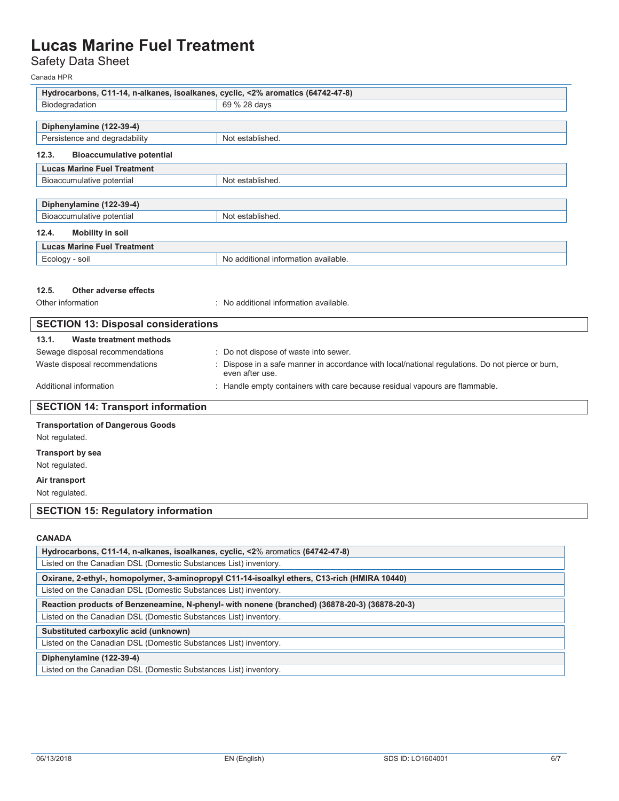### Safety Data Sheet

Canada HPR

| Hydrocarbons, C11-14, n-alkanes, isoalkanes, cyclic, <2% aromatics (64742-47-8) |                                                                                                                     |  |
|---------------------------------------------------------------------------------|---------------------------------------------------------------------------------------------------------------------|--|
| Biodegradation                                                                  | 69 % 28 days                                                                                                        |  |
|                                                                                 |                                                                                                                     |  |
| Diphenylamine (122-39-4)<br>Persistence and degradability                       | Not established.                                                                                                    |  |
|                                                                                 |                                                                                                                     |  |
| 12.3.<br><b>Bioaccumulative potential</b>                                       |                                                                                                                     |  |
| <b>Lucas Marine Fuel Treatment</b>                                              |                                                                                                                     |  |
| Bioaccumulative potential                                                       | Not established.                                                                                                    |  |
| Diphenylamine (122-39-4)                                                        |                                                                                                                     |  |
| Bioaccumulative potential                                                       | Not established.                                                                                                    |  |
| 12.4.<br><b>Mobility in soil</b>                                                |                                                                                                                     |  |
| <b>Lucas Marine Fuel Treatment</b>                                              |                                                                                                                     |  |
| Ecology - soil                                                                  | No additional information available.                                                                                |  |
|                                                                                 |                                                                                                                     |  |
|                                                                                 |                                                                                                                     |  |
| 12.5.<br>Other adverse effects<br>Other information                             | : No additional information available.                                                                              |  |
|                                                                                 |                                                                                                                     |  |
| <b>SECTION 13: Disposal considerations</b>                                      |                                                                                                                     |  |
| 13.1.<br>Waste treatment methods                                                |                                                                                                                     |  |
| Sewage disposal recommendations                                                 | : Do not dispose of waste into sewer.                                                                               |  |
| Waste disposal recommendations                                                  | : Dispose in a safe manner in accordance with local/national regulations. Do not pierce or burn,<br>even after use. |  |
| Additional information                                                          | : Handle empty containers with care because residual vapours are flammable.                                         |  |
| <b>SECTION 14: Transport information</b>                                        |                                                                                                                     |  |
| <b>Transportation of Dangerous Goods</b>                                        |                                                                                                                     |  |
| Not regulated.                                                                  |                                                                                                                     |  |
| <b>Transport by sea</b>                                                         |                                                                                                                     |  |
| Not regulated.                                                                  |                                                                                                                     |  |
| Air transport                                                                   |                                                                                                                     |  |
| Not regulated.                                                                  |                                                                                                                     |  |
| <b>SECTION 15: Regulatory information</b>                                       |                                                                                                                     |  |
|                                                                                 |                                                                                                                     |  |
| <b>CANADA</b>                                                                   |                                                                                                                     |  |
| Hydrocarbons, C11-14, n-alkanes, isoalkanes, cyclic, <2% aromatics (64742-47-8) |                                                                                                                     |  |
| Listed on the Canadian DSL (Domestic Substances List) inventory.                |                                                                                                                     |  |
|                                                                                 |                                                                                                                     |  |

Listed on the Canadian DSL (Domestic Substances List) inventory.

**Reaction products of Benzeneamine, N-phenyl- with nonene (branched) (36878-20-3) (36878-20-3)** 

Listed on the Canadian DSL (Domestic Substances List) inventory.

**Substituted carboxylic acid (unknown)** 

Listed on the Canadian DSL (Domestic Substances List) inventory.

**Diphenylamine (122-39-4)** 

Listed on the Canadian DSL (Domestic Substances List) inventory.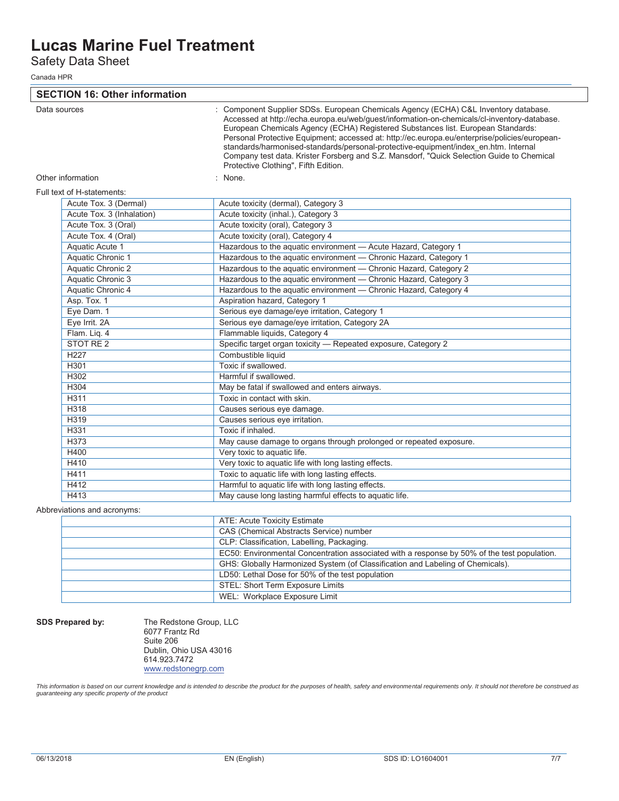Safety Data Sheet

Canada HPR

**SECTION 16: Other information**  Data sources **in the source of the Component Supplier SDSs. European Chemicals Agency (ECHA) C&L Inventory database.** Accessed at http://echa.europa.eu/web/guest/information-on-chemicals/cl-inventory-database. European Chemicals Agency (ECHA) Registered Substances list. European Standards: Personal Protective Equipment; accessed at: http://ec.europa.eu/enterprise/policies/europeanstandards/harmonised-standards/personal-protective-equipment/index\_en.htm. Internal Company test data. Krister Forsberg and S.Z. Mansdorf, "Quick Selection Guide to Chemical Protective Clothing", Fifth Edition. Other information in the set of the set of the set of the set of the set of the set of the set of the set of the set of the set of the set of the set of the set of the set of the set of the set of the set of the set of the Full text of H-statements: Acute Tox. 3 (Dermal) Acute toxicity (dermal), Category 3<br>
Acute Tox. 3 (Inhalation) Acute toxicity (inhal.), Category 3 Acute toxicity (inhal.), Category 3 Acute Tox. 3 (Oral) Acute toxicity (oral), Category 3 Acute Tox. 4 (Oral) Acute toxicity (oral), Category 4 Aquatic Acute 1 **Hazardous to the aquatic environment — Acute Hazard, Category 1** Aquatic Chronic 1 **Hazardous to the aquatic environment — Chronic Hazard, Category 1** Aquatic Chronic 2 Hazardous to the aquatic environment — Chronic Hazard, Category 2 Aquatic Chronic 3 **Hazardous to the aquatic environment — Chronic Hazard, Category 3** Aquatic Chronic 4 Hazardous to the aquatic environment — Chronic Hazard, Category 4 Asp. Tox. 1 Aspiration hazard, Category 1 Eye Dam. 1 Serious eye damage/eye irritation, Category 1 Eye Irrit. 2A Serious eye damage/eye irritation, Category 2A Flam. Liq. 4 Flammable liquids, Category 4 STOT RE 2 Specific target organ toxicity — Repeated exposure, Category 2 H227 Combustible liquid H301 H301 Toxic if swallowed.

### Abbreviations and acronyms:

| ATE: Acute Toxicity Estimate                                                                |
|---------------------------------------------------------------------------------------------|
| CAS (Chemical Abstracts Service) number                                                     |
| CLP: Classification, Labelling, Packaging.                                                  |
| EC50: Environmental Concentration associated with a response by 50% of the test population. |
| GHS: Globally Harmonized System (of Classification and Labeling of Chemicals).              |
| LD50: Lethal Dose for 50% of the test population                                            |
| STEL: Short Term Exposure Limits                                                            |
| WEL: Workplace Exposure Limit                                                               |

**SDS Prepared by:** The Redstone Group, LLC 6077 Frantz Rd Suite 206 Dublin, Ohio USA 43016 614.923.7472 www.redstonegrp.com

H302 Harmful if swallowed.

H331 **H331** Toxic if inhaled.

H311 **H311** Toxic in contact with skin. H318 **Causes serious eye damage.** H319 **Causes serious eye irritation.** 

H400 **Very toxic to aquatic life.** 

H304 May be fatal if swallowed and enters airways

H410 Very toxic to aquatic life with long lasting effects. H411 **H411** Toxic to aquatic life with long lasting effects. H412 Harmful to aquatic life with long lasting effects. H413 **May cause long lasting harmful effects to aquatic life.** 

H373 May cause damage to organs through prolonged or repeated exposure.

*This information is based on our current knowledge and is intended to describe the product for the purposes of health, safety and environmental requirements only. It should not therefore be construed as guaranteeing any specific property of the product*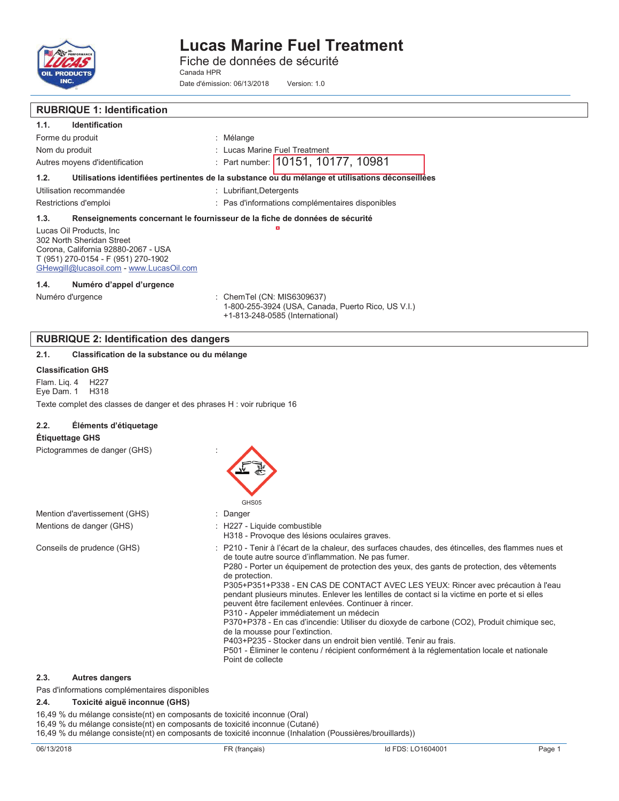

**RUBRIQUE 1: Identification** 

# **Lucas Marine Fuel Treatment**

Fiche de données de sécurité Canada HPR

Date d'émission: 06/13/2018 Version: 1.0

| <b>RUBRIQUE 1: Identification</b>                                                                                                                                               |                                                                                                                                                                                                                                                                                                                                                                                                                                                                                                                                                                                                                                                                                                                                                                                                                                                                                              |
|---------------------------------------------------------------------------------------------------------------------------------------------------------------------------------|----------------------------------------------------------------------------------------------------------------------------------------------------------------------------------------------------------------------------------------------------------------------------------------------------------------------------------------------------------------------------------------------------------------------------------------------------------------------------------------------------------------------------------------------------------------------------------------------------------------------------------------------------------------------------------------------------------------------------------------------------------------------------------------------------------------------------------------------------------------------------------------------|
| 1.1.<br><b>Identification</b>                                                                                                                                                   |                                                                                                                                                                                                                                                                                                                                                                                                                                                                                                                                                                                                                                                                                                                                                                                                                                                                                              |
| Forme du produit                                                                                                                                                                | : Mélange                                                                                                                                                                                                                                                                                                                                                                                                                                                                                                                                                                                                                                                                                                                                                                                                                                                                                    |
| Nom du produit                                                                                                                                                                  | : Lucas Marine Fuel Treatment                                                                                                                                                                                                                                                                                                                                                                                                                                                                                                                                                                                                                                                                                                                                                                                                                                                                |
| Autres moyens d'identification                                                                                                                                                  | : Part number: 10151, 10177, 10981                                                                                                                                                                                                                                                                                                                                                                                                                                                                                                                                                                                                                                                                                                                                                                                                                                                           |
| 1.2.                                                                                                                                                                            | Utilisations identifiées pertinentes de la substance ou du mélange et utilisations déconseillées                                                                                                                                                                                                                                                                                                                                                                                                                                                                                                                                                                                                                                                                                                                                                                                             |
| Utilisation recommandée                                                                                                                                                         | : Lubrifiant, Detergents                                                                                                                                                                                                                                                                                                                                                                                                                                                                                                                                                                                                                                                                                                                                                                                                                                                                     |
| Restrictions d'emploi                                                                                                                                                           | : Pas d'informations complémentaires disponibles                                                                                                                                                                                                                                                                                                                                                                                                                                                                                                                                                                                                                                                                                                                                                                                                                                             |
| 1.3.                                                                                                                                                                            | Renseignements concernant le fournisseur de la fiche de données de sécurité                                                                                                                                                                                                                                                                                                                                                                                                                                                                                                                                                                                                                                                                                                                                                                                                                  |
| Lucas Oil Products, Inc.<br>302 North Sheridan Street<br>Corona, California 92880-2067 - USA<br>T (951) 270-0154 - F (951) 270-1902<br>GHewgill@lucasoil.com - www.LucasOil.com |                                                                                                                                                                                                                                                                                                                                                                                                                                                                                                                                                                                                                                                                                                                                                                                                                                                                                              |
| 1.4.<br>Numéro d'appel d'urgence                                                                                                                                                |                                                                                                                                                                                                                                                                                                                                                                                                                                                                                                                                                                                                                                                                                                                                                                                                                                                                                              |
| Numéro d'urgence                                                                                                                                                                | : ChemTel (CN: MIS6309637)<br>1-800-255-3924 (USA, Canada, Puerto Rico, US V.I.)<br>+1-813-248-0585 (International)                                                                                                                                                                                                                                                                                                                                                                                                                                                                                                                                                                                                                                                                                                                                                                          |
| <b>RUBRIQUE 2: Identification des dangers</b>                                                                                                                                   |                                                                                                                                                                                                                                                                                                                                                                                                                                                                                                                                                                                                                                                                                                                                                                                                                                                                                              |
| 2.1.<br>Classification de la substance ou du mélange                                                                                                                            |                                                                                                                                                                                                                                                                                                                                                                                                                                                                                                                                                                                                                                                                                                                                                                                                                                                                                              |
| <b>Classification GHS</b>                                                                                                                                                       |                                                                                                                                                                                                                                                                                                                                                                                                                                                                                                                                                                                                                                                                                                                                                                                                                                                                                              |
| Flam. Lig. 4<br>H <sub>22</sub> 7<br>Eye Dam. 1<br>H318                                                                                                                         |                                                                                                                                                                                                                                                                                                                                                                                                                                                                                                                                                                                                                                                                                                                                                                                                                                                                                              |
| Texte complet des classes de danger et des phrases H : voir rubrique 16                                                                                                         |                                                                                                                                                                                                                                                                                                                                                                                                                                                                                                                                                                                                                                                                                                                                                                                                                                                                                              |
|                                                                                                                                                                                 |                                                                                                                                                                                                                                                                                                                                                                                                                                                                                                                                                                                                                                                                                                                                                                                                                                                                                              |
| 2.2.<br>Éléments d'étiquetage                                                                                                                                                   |                                                                                                                                                                                                                                                                                                                                                                                                                                                                                                                                                                                                                                                                                                                                                                                                                                                                                              |
| <b>Étiquettage GHS</b>                                                                                                                                                          |                                                                                                                                                                                                                                                                                                                                                                                                                                                                                                                                                                                                                                                                                                                                                                                                                                                                                              |
| Pictogrammes de danger (GHS)                                                                                                                                                    | GHS05                                                                                                                                                                                                                                                                                                                                                                                                                                                                                                                                                                                                                                                                                                                                                                                                                                                                                        |
| Mention d'avertissement (GHS)                                                                                                                                                   | Danger                                                                                                                                                                                                                                                                                                                                                                                                                                                                                                                                                                                                                                                                                                                                                                                                                                                                                       |
| Mentions de danger (GHS)                                                                                                                                                        | : H227 - Liquide combustible<br>H318 - Provoque des lésions oculaires graves.                                                                                                                                                                                                                                                                                                                                                                                                                                                                                                                                                                                                                                                                                                                                                                                                                |
| Conseils de prudence (GHS)                                                                                                                                                      | : P210 - Tenir à l'écart de la chaleur, des surfaces chaudes, des étincelles, des flammes nues et<br>de toute autre source d'inflammation. Ne pas fumer.<br>P280 - Porter un équipement de protection des yeux, des gants de protection, des vêtements<br>de protection.<br>P305+P351+P338 - EN CAS DE CONTACT AVEC LES YEUX: Rincer avec précaution à l'eau<br>pendant plusieurs minutes. Enlever les lentilles de contact si la victime en porte et si elles<br>peuvent être facilement enlevées. Continuer à rincer.<br>P310 - Appeler immédiatement un médecin<br>P370+P378 - En cas d'incendie: Utiliser du dioxyde de carbone (CO2), Produit chimique sec,<br>de la mousse pour l'extinction.<br>P403+P235 - Stocker dans un endroit bien ventilé. Tenir au frais.<br>P501 - Éliminer le contenu / récipient conformément à la réglementation locale et nationale<br>Point de collecte |
| 2.3.<br><b>Autres dangers</b>                                                                                                                                                   |                                                                                                                                                                                                                                                                                                                                                                                                                                                                                                                                                                                                                                                                                                                                                                                                                                                                                              |

Pas d'informations complémentaires disponibles

#### **2.4. Toxicité aiguë inconnue (GHS)**

16,49 % du mélange consiste(nt) en composants de toxicité inconnue (Oral) 16,49 % du mélange consiste(nt) en composants de toxicité inconnue (Cutané)

16,49 % du mélange consiste(nt) en composants de toxicité inconnue (Inhalation (Poussières/brouillards))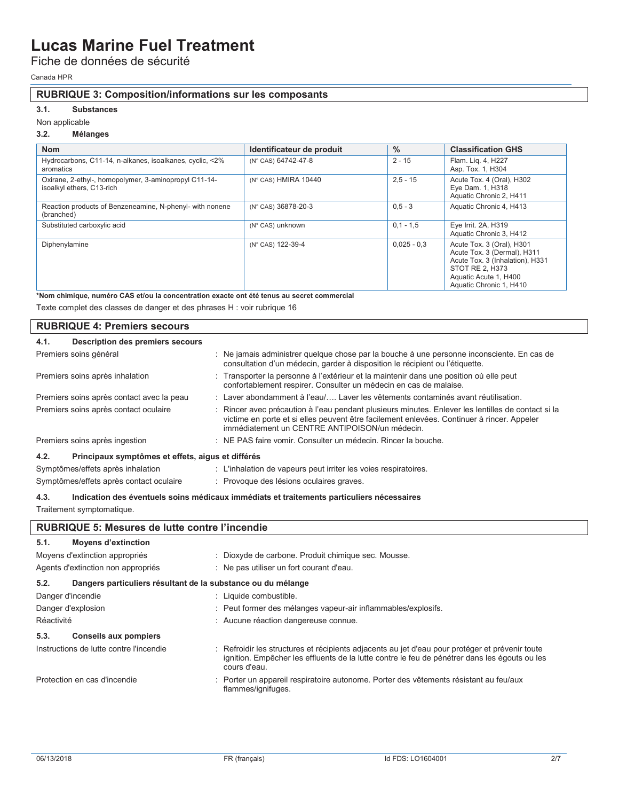Fiche de données de sécurité

Canada HPR

### **RUBRIQUE 3: Composition/informations sur les composants**

### **3.1. Substances**

#### Non applicable

### **3.2. Mélanges**

| <b>Nom</b>                                                                         | Identificateur de produit | $\%$          | <b>Classification GHS</b>                                                                                                                                          |
|------------------------------------------------------------------------------------|---------------------------|---------------|--------------------------------------------------------------------------------------------------------------------------------------------------------------------|
| Hydrocarbons, C11-14, n-alkanes, isoalkanes, cyclic, <2%<br>aromatics              | (N° CAS) 64742-47-8       | $2 - 15$      | Flam. Liq. 4, H227<br>Asp. Tox. 1, H304                                                                                                                            |
| Oxirane, 2-ethyl-, homopolymer, 3-aminopropyl C11-14-<br>isoalkyl ethers, C13-rich | (N° CAS) HMIRA 10440      | $2,5 - 15$    | Acute Tox. 4 (Oral), H302<br>Eye Dam. 1, H318<br>Aquatic Chronic 2, H411                                                                                           |
| Reaction products of Benzeneamine, N-phenyl- with nonene<br>(branched)             | (N° CAS) 36878-20-3       | $0.5 - 3$     | Aquatic Chronic 4, H413                                                                                                                                            |
| Substituted carboxylic acid                                                        | (N° CAS) unknown          | $0.1 - 1.5$   | Eye Irrit. 2A, H319<br>Aquatic Chronic 3, H412                                                                                                                     |
| Diphenylamine                                                                      | (N° CAS) 122-39-4         | $0,025 - 0,3$ | Acute Tox. 3 (Oral), H301<br>Acute Tox. 3 (Dermal), H311<br>Acute Tox. 3 (Inhalation), H331<br>STOT RE 2, H373<br>Aquatic Acute 1, H400<br>Aquatic Chronic 1, H410 |

**\*Nom chimique, numéro CAS et/ou la concentration exacte ont été tenus au secret commercial** 

Texte complet des classes de danger et des phrases H : voir rubrique 16

|      | <b>RUBRIQUE 4: Premiers secours</b>               |                                                                                                                                                                                                                                                    |
|------|---------------------------------------------------|----------------------------------------------------------------------------------------------------------------------------------------------------------------------------------------------------------------------------------------------------|
| 4.1. | <b>Description des premiers secours</b>           |                                                                                                                                                                                                                                                    |
|      | Premiers soins général                            | : Ne jamais administrer quelque chose par la bouche à une personne inconsciente. En cas de<br>consultation d'un médecin, garder à disposition le récipient ou l'étiquette.                                                                         |
|      | Premiers soins après inhalation                   | : Transporter la personne à l'extérieur et la maintenir dans une position où elle peut<br>confortablement respirer. Consulter un médecin en cas de malaise.                                                                                        |
|      | Premiers soins après contact avec la peau         | : Laver abondamment à l'eau/ Laver les vêtements contaminés avant réutilisation.                                                                                                                                                                   |
|      | Premiers soins après contact oculaire             | : Rincer avec précaution à l'eau pendant plusieurs minutes. Enlever les lentilles de contact si la<br>victime en porte et si elles peuvent être facilement enlevées. Continuer à rincer. Appeler<br>immédiatement un CENTRE ANTIPOISON/un médecin. |
|      | Premiers soins après ingestion                    | : NE PAS faire vomir. Consulter un médecin. Rincer la bouche.                                                                                                                                                                                      |
| 4.2. | Principaux symptômes et effets, aigus et différés |                                                                                                                                                                                                                                                    |
|      | Symptômes/effets après inhalation                 | : L'inhalation de vapeurs peut irriter les voies respiratoires.                                                                                                                                                                                    |
|      | Symptômes/effets après contact oculaire           | : Provoque des lésions oculaires graves.                                                                                                                                                                                                           |

**4.3. Indication des éventuels soins médicaux immédiats et traitements particuliers nécessaires**  Traitement symptomatique.

### **RUBRIQUE 5: Mesures de lutte contre l'incendie**

| 5.1.<br><b>Moyens d'extinction</b>                                   |                                                                                                                                                                                                                  |
|----------------------------------------------------------------------|------------------------------------------------------------------------------------------------------------------------------------------------------------------------------------------------------------------|
| Moyens d'extinction appropriés                                       | : Dioxyde de carbone. Produit chimique sec. Mousse.                                                                                                                                                              |
| Agents d'extinction non appropriés                                   | : Ne pas utiliser un fort courant d'eau.                                                                                                                                                                         |
| 5.2.<br>Dangers particuliers résultant de la substance ou du mélange |                                                                                                                                                                                                                  |
| Danger d'incendie                                                    | : Liquide combustible.                                                                                                                                                                                           |
| Danger d'explosion                                                   | : Peut former des mélanges vapeur-air inflammables/explosifs.                                                                                                                                                    |
| Réactivité                                                           | : Aucune réaction dangereuse connue.                                                                                                                                                                             |
| 5.3.<br><b>Conseils aux pompiers</b>                                 |                                                                                                                                                                                                                  |
| Instructions de lutte contre l'incendie                              | : Refroidir les structures et récipients adjacents au jet d'eau pour protéger et prévenir toute<br>ignition. Empêcher les effluents de la lutte contre le feu de pénétrer dans les égouts ou les<br>cours d'eau. |
| Protection en cas d'incendie                                         | : Porter un appareil respiratoire autonome. Porter des vêtements résistant au feu/aux<br>flammes/ignifuges.                                                                                                      |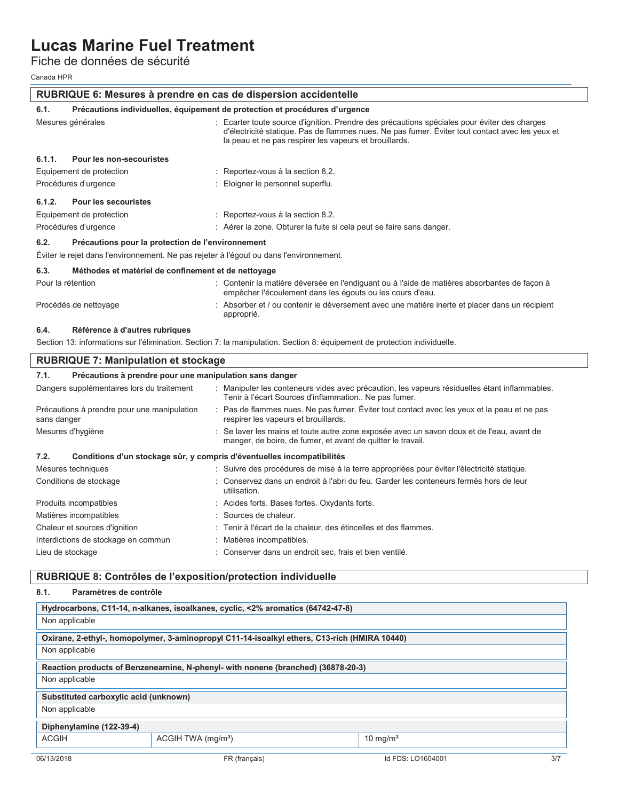Fiche de données de sécurité

Canada HPR

| RUBRIQUE 6: Mesures à prendre en cas de dispersion accidentelle |                                                                                         |                                                                                                                                                                                                                                                           |  |  |  |
|-----------------------------------------------------------------|-----------------------------------------------------------------------------------------|-----------------------------------------------------------------------------------------------------------------------------------------------------------------------------------------------------------------------------------------------------------|--|--|--|
| 6.1.                                                            | Précautions individuelles, équipement de protection et procédures d'urgence             |                                                                                                                                                                                                                                                           |  |  |  |
|                                                                 | Mesures générales                                                                       | : Ecarter toute source d'ignition. Prendre des précautions spéciales pour éviter des charges<br>d'électricité statique. Pas de flammes nues. Ne pas fumer. Éviter tout contact avec les yeux et<br>la peau et ne pas respirer les vapeurs et brouillards. |  |  |  |
| 6.1.1.                                                          | Pour les non-secouristes                                                                |                                                                                                                                                                                                                                                           |  |  |  |
|                                                                 | Equipement de protection                                                                | : Reportez-vous à la section 8.2.                                                                                                                                                                                                                         |  |  |  |
|                                                                 | Procédures d'urgence                                                                    | Eloigner le personnel superflu.                                                                                                                                                                                                                           |  |  |  |
| 6.1.2.                                                          | <b>Pour les secouristes</b>                                                             |                                                                                                                                                                                                                                                           |  |  |  |
|                                                                 | Equipement de protection                                                                | : Reportez-vous à la section 8.2.                                                                                                                                                                                                                         |  |  |  |
|                                                                 | Procédures d'urgence                                                                    | : Aérer la zone. Obturer la fuite si cela peut se faire sans danger.                                                                                                                                                                                      |  |  |  |
| 6.2.                                                            | Précautions pour la protection de l'environnement                                       |                                                                                                                                                                                                                                                           |  |  |  |
|                                                                 | Éviter le rejet dans l'environnement. Ne pas rejeter à l'égout ou dans l'environnement. |                                                                                                                                                                                                                                                           |  |  |  |
| 6.3.                                                            | Méthodes et matériel de confinement et de nettoyage                                     |                                                                                                                                                                                                                                                           |  |  |  |
|                                                                 | Pour la rétention                                                                       | : Contenir la matière déversée en l'endiguant ou à l'aide de matières absorbantes de façon à<br>empêcher l'écoulement dans les égouts ou les cours d'eau.                                                                                                 |  |  |  |
|                                                                 | Procédés de nettoyage                                                                   | : Absorber et / ou contenir le déversement avec une matière inerte et placer dans un récipient<br>approprié.                                                                                                                                              |  |  |  |
| 6.4.                                                            | Référence à d'autres rubriques                                                          |                                                                                                                                                                                                                                                           |  |  |  |
|                                                                 |                                                                                         | Section 13: informations sur l'élimination. Section 7: la manipulation. Section 8: équipement de protection individuelle.                                                                                                                                 |  |  |  |
|                                                                 | <b>RUBRIQUE 7: Manipulation et stockage</b>                                             |                                                                                                                                                                                                                                                           |  |  |  |
| 7.1.                                                            | Précautions à prendre pour une manipulation sans danger                                 |                                                                                                                                                                                                                                                           |  |  |  |
|                                                                 | Dangers supplémentaires lors du traitement                                              | : Manipuler les conteneurs vides avec précaution, les vapeurs résiduelles étant inflammables.<br>Tenir à l'écart Sources d'inflammation Ne pas fumer.                                                                                                     |  |  |  |
| sans danger                                                     | Précautions à prendre pour une manipulation                                             | : Pas de flammes nues. Ne pas fumer. Éviter tout contact avec les yeux et la peau et ne pas<br>respirer les vapeurs et brouillards.                                                                                                                       |  |  |  |
|                                                                 | Mesures d'hygiène                                                                       | Se laver les mains et toute autre zone exposée avec un savon doux et de l'eau, avant de<br>manger, de boire, de fumer, et avant de quitter le travail.                                                                                                    |  |  |  |
| 7.2.                                                            | Conditions d'un stockage sûr, y compris d'éventuelles incompatibilités                  |                                                                                                                                                                                                                                                           |  |  |  |
|                                                                 | Mesures techniques                                                                      | : Suivre des procédures de mise à la terre appropriées pour éviter l'électricité statique.                                                                                                                                                                |  |  |  |
|                                                                 | Conditions de stockage                                                                  | Conservez dans un endroit à l'abri du feu. Garder les conteneurs fermés hors de leur                                                                                                                                                                      |  |  |  |

| Conditions de stockage              | : Conservez dans un endroit à l'abri du feu. Garder les conteneurs fermés hors de leur<br>utilisation. |
|-------------------------------------|--------------------------------------------------------------------------------------------------------|
| Produits incompatibles              | : Acides forts. Bases fortes. Oxydants forts.                                                          |
| Matières incompatibles              | : Sources de chaleur.                                                                                  |
| Chaleur et sources d'ignition       | : Tenir à l'écart de la chaleur, des étincelles et des flammes.                                        |
| Interdictions de stockage en commun | : Matières incompatibles.                                                                              |
| Lieu de stockage                    | : Conserver dans un endroit sec, frais et bien ventilé.                                                |

### **RUBRIQUE 8: Contrôles de l'exposition/protection individuelle**

### **8.1. Paramètres de contrôle**

|                                       | Hydrocarbons, C11-14, n-alkanes, isoalkanes, cyclic, <2% aromatics (64742-47-8)              |                   |     |
|---------------------------------------|----------------------------------------------------------------------------------------------|-------------------|-----|
| Non applicable                        |                                                                                              |                   |     |
|                                       | Oxirane, 2-ethyl-, homopolymer, 3-aminopropyl C11-14-isoalkyl ethers, C13-rich (HMIRA 10440) |                   |     |
| Non applicable                        |                                                                                              |                   |     |
|                                       | Reaction products of Benzeneamine, N-phenyl- with nonene (branched) (36878-20-3)             |                   |     |
| Non applicable                        |                                                                                              |                   |     |
| Substituted carboxylic acid (unknown) |                                                                                              |                   |     |
| Non applicable                        |                                                                                              |                   |     |
| Diphenylamine (122-39-4)              |                                                                                              |                   |     |
| <b>ACGIH</b>                          | ACGIH TWA (mg/m <sup>3</sup> )                                                               | 10 mg/ $m3$       |     |
| 06/13/2018                            | FR (français)                                                                                | Id FDS: LO1604001 | 3/7 |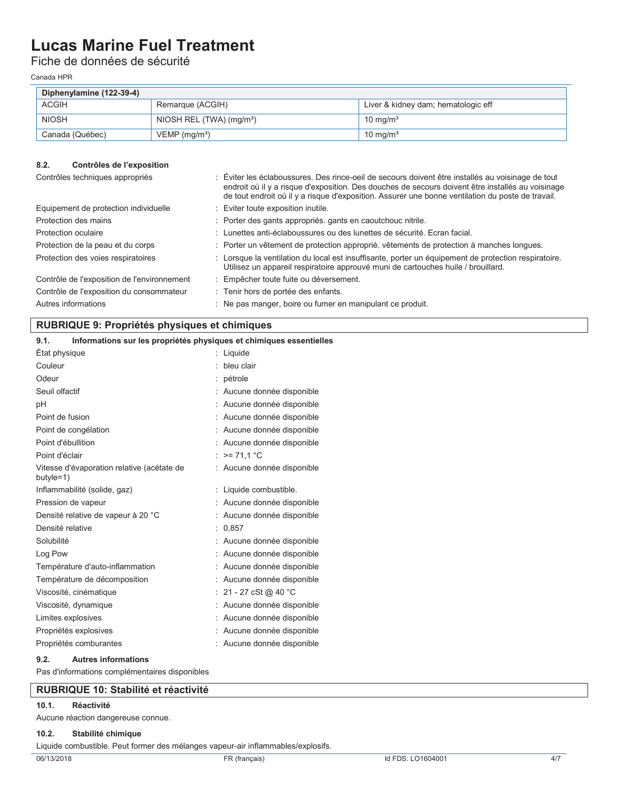Fiche de données de sécurité

Canada HPR

| Diphenylamine (122-39-4) |                                        |                                     |  |  |  |
|--------------------------|----------------------------------------|-------------------------------------|--|--|--|
| <b>ACGIH</b>             | Remarque (ACGIH)                       | Liver & kidney dam; hematologic eff |  |  |  |
| <b>NIOSH</b>             | NIOSH REL $(TWA)$ (mg/m <sup>3</sup> ) | 10 mg/m <sup>3</sup>                |  |  |  |
| Canada (Québec)          | $VEMP$ (mg/m <sup>3</sup> )            | 10 mg/m <sup>3</sup>                |  |  |  |

### **8.2. Contrôles de l'exposition**

| Contrôles techniques appropriés             | Éviter les éclaboussures. Des rince-oeil de secours doivent être installés au voisinage de tout<br>endroit où il y a risque d'exposition. Des douches de secours doivent être installés au voisinage<br>de tout endroit où il y a risque d'exposition. Assurer une bonne ventilation du poste de travail. |
|---------------------------------------------|-----------------------------------------------------------------------------------------------------------------------------------------------------------------------------------------------------------------------------------------------------------------------------------------------------------|
| Equipement de protection individuelle       | : Eviter toute exposition inutile.                                                                                                                                                                                                                                                                        |
| Protection des mains                        | : Porter des gants appropriés, gants en caoutchouc nitrile.                                                                                                                                                                                                                                               |
| Protection oculaire                         | : Lunettes anti-éclaboussures ou des lunettes de sécurité. Ecran facial.                                                                                                                                                                                                                                  |
| Protection de la peau et du corps           | : Porter un vêtement de protection approprié, vêtements de protection à manches longues.                                                                                                                                                                                                                  |
| Protection des voies respiratoires          | : Lorsque la ventilation du local est insuffisante, porter un équipement de protection respiratoire.<br>Utilisez un appareil respiratoire approuvé muni de cartouches huile / brouillard.                                                                                                                 |
| Contrôle de l'exposition de l'environnement | : Empêcher toute fuite ou déversement.                                                                                                                                                                                                                                                                    |
| Contrôle de l'exposition du consommateur    | : Tenir hors de portée des enfants.                                                                                                                                                                                                                                                                       |
| Autres informations                         | : Ne pas manger, boire ou fumer en manipulant ce produit.                                                                                                                                                                                                                                                 |

### **RUBRIQUE 9: Propriétés physiques et chimiques**

| 9.1.               | Informations sur les propriétés physiques et chimiques essentielles |                            |
|--------------------|---------------------------------------------------------------------|----------------------------|
| Etat physique      |                                                                     | : Liquide                  |
| Couleur            |                                                                     | $:$ bleu clair             |
| Odeur              |                                                                     | : pétrole                  |
| Seuil olfactif     |                                                                     | : Aucune donnée disponible |
| рH                 |                                                                     | : Aucune donnée disponible |
| Point de fusion    |                                                                     | : Aucune donnée disponible |
|                    | Point de congélation                                                | : Aucune donnée disponible |
| Point d'ébullition |                                                                     | : Aucune donnée disponible |
| Point d'éclair     |                                                                     | : $>= 71.1 °C$             |
| butyle=1)          | Vitesse d'évaporation relative (acétate de                          | : Aucune donnée disponible |
|                    | Inflammabilité (solide, gaz)                                        | : Liquide combustible.     |
|                    | Pression de vapeur                                                  | : Aucune donnée disponible |
|                    | Densité relative de vapeur à 20 °C                                  | : Aucune donnée disponible |
| Densité relative   |                                                                     | : 0.857                    |
| Solubilité         |                                                                     | : Aucune donnée disponible |
| Log Pow            |                                                                     | : Aucune donnée disponible |
|                    | Température d'auto-inflammation                                     | : Aucune donnée disponible |
|                    | Température de décomposition                                        | : Aucune donnée disponible |
|                    | Viscosité, cinématique                                              | : 21 - 27 cSt @ 40 °C      |
|                    | Viscosité, dynamique                                                | : Aucune donnée disponible |
| Limites explosives |                                                                     | : Aucune donnée disponible |
|                    | Propriétés explosives                                               | : Aucune donnée disponible |
|                    | Propriétés comburantes                                              | : Aucune donnée disponible |
| 9.2.               | <b>Autres informations</b>                                          |                            |

Pas d'informations complémentaires disponibles

### **RUBRIQUE 10: Stabilité et réactivité**

#### **10.1. Réactivité**

Aucune réaction dangereuse connue.

#### **10.2. Stabilité chimique**

Liquide combustible. Peut former des mélanges vapeur-air inflammables/explosifs.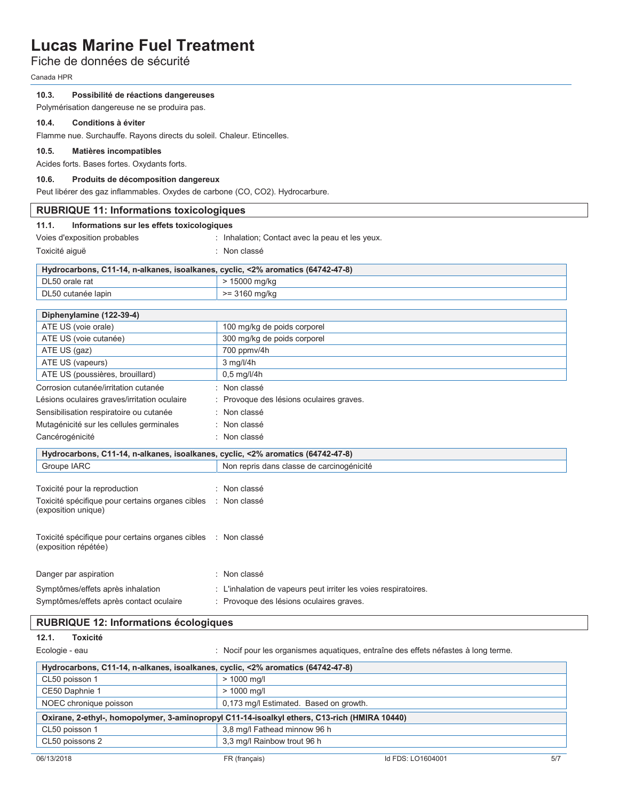### Fiche de données de sécurité

Canada HPR

### **10.3. Possibilité de réactions dangereuses**

Polymérisation dangereuse ne se produira pas.

#### **10.4. Conditions à éviter**

Flamme nue. Surchauffe. Rayons directs du soleil. Chaleur. Etincelles.

### **10.5. Matières incompatibles**

Acides forts. Bases fortes. Oxydants forts.

#### **10.6. Produits de décomposition dangereux**

Peut libérer des gaz inflammables. Oxydes de carbone (CO, CO2). Hydrocarbure.

| <b>RUBRIQUE 11: Informations toxicologiques</b>                                       |                                                                                              |  |
|---------------------------------------------------------------------------------------|----------------------------------------------------------------------------------------------|--|
| 11.1.<br>Informations sur les effets toxicologiques                                   |                                                                                              |  |
| Voies d'exposition probables                                                          | : Inhalation; Contact avec la peau et les yeux.                                              |  |
| Toxicité aiguë                                                                        | : Non classé                                                                                 |  |
| Hydrocarbons, C11-14, n-alkanes, isoalkanes, cyclic, <2% aromatics (64742-47-8)       |                                                                                              |  |
| DL50 orale rat                                                                        | > 15000 mg/kg                                                                                |  |
| DL50 cutanée lapin                                                                    | >= 3160 mg/kg                                                                                |  |
| Diphenylamine (122-39-4)                                                              |                                                                                              |  |
| ATE US (voie orale)                                                                   | 100 mg/kg de poids corporel                                                                  |  |
| ATE US (voie cutanée)                                                                 | 300 mg/kg de poids corporel                                                                  |  |
| ATE US (gaz)                                                                          | 700 ppmv/4h                                                                                  |  |
| ATE US (vapeurs)                                                                      | $3$ mg/l/4h                                                                                  |  |
| ATE US (poussières, brouillard)                                                       | 0,5 mg/l/4h                                                                                  |  |
| Corrosion cutanée/irritation cutanée                                                  | : Non classé                                                                                 |  |
| Lésions oculaires graves/irritation oculaire                                          | : Provoque des lésions oculaires graves.                                                     |  |
| Sensibilisation respiratoire ou cutanée                                               | : Non classé                                                                                 |  |
| Mutagénicité sur les cellules germinales                                              | : Non classé                                                                                 |  |
| Cancérogénicité                                                                       | : Non classé                                                                                 |  |
| Hydrocarbons, C11-14, n-alkanes, isoalkanes, cyclic, <2% aromatics (64742-47-8)       |                                                                                              |  |
| Groupe IARC                                                                           | Non repris dans classe de carcinogénicité                                                    |  |
|                                                                                       |                                                                                              |  |
| Toxicité pour la reproduction                                                         | : Non classé                                                                                 |  |
| Toxicité spécifique pour certains organes cibles<br>(exposition unique)               | : Non classé                                                                                 |  |
| Toxicité spécifique pour certains organes cibles : Non classé<br>(exposition répétée) |                                                                                              |  |
| Danger par aspiration                                                                 | : Non classé                                                                                 |  |
| Symptômes/effets après inhalation                                                     | : L'inhalation de vapeurs peut irriter les voies respiratoires.                              |  |
| Symptômes/effets après contact oculaire                                               | : Provoque des lésions oculaires graves.                                                     |  |
| <b>RUBRIQUE 12: Informations écologiques</b>                                          |                                                                                              |  |
| 12.1.<br><b>Toxicité</b>                                                              |                                                                                              |  |
| Ecologie - eau                                                                        | : Nocif pour les organismes aquatiques, entraîne des effets néfastes à long terme.           |  |
| Hydrocarbons, C11-14, n-alkanes, isoalkanes, cyclic, <2% aromatics (64742-47-8)       |                                                                                              |  |
| CL50 poisson 1                                                                        | $> 1000$ mg/l                                                                                |  |
| CE50 Daphnie 1                                                                        | > 1000 mg/l                                                                                  |  |
| NOEC chronique poisson                                                                | 0,173 mg/l Estimated. Based on growth.                                                       |  |
|                                                                                       | Oxirane, 2-ethyl-, homopolymer, 3-aminopropyl C11-14-isoalkyl ethers, C13-rich (HMIRA 10440) |  |

CL50 poisson 1 3,8 mg/l Fathead minnow 96 h CL50 poissons 2 3,3 mg/l Rainbow trout 96 h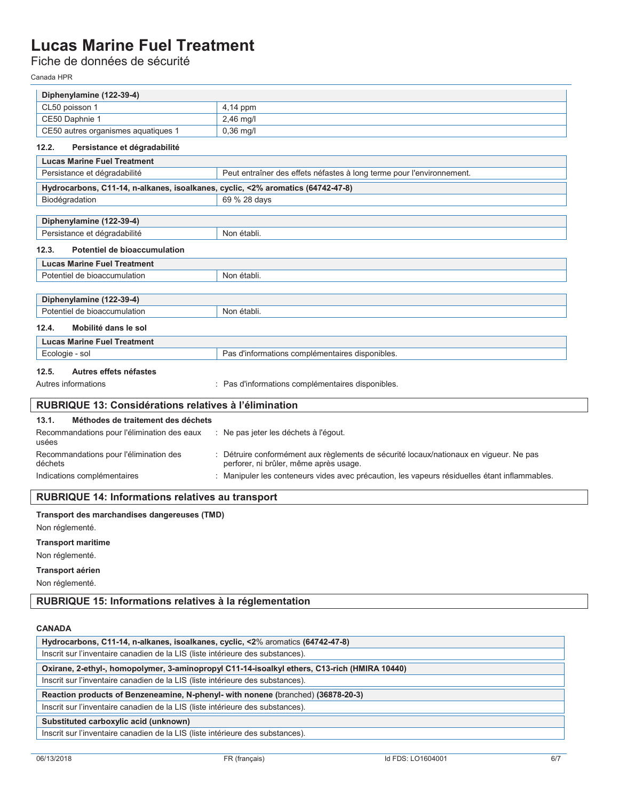Fiche de données de sécurité

Canada HPR

| Diphenylamine (122-39-4)                                                        |                                                                                                                                  |
|---------------------------------------------------------------------------------|----------------------------------------------------------------------------------------------------------------------------------|
| CL50 poisson 1                                                                  | 4,14 ppm                                                                                                                         |
| CE50 Daphnie 1                                                                  | 2,46 mg/l                                                                                                                        |
| CE50 autres organismes aquatiques 1                                             | 0,36 mg/l                                                                                                                        |
| 12.2.<br>Persistance et dégradabilité                                           |                                                                                                                                  |
| <b>Lucas Marine Fuel Treatment</b>                                              |                                                                                                                                  |
| Persistance et dégradabilité                                                    | Peut entraîner des effets néfastes à long terme pour l'environnement.                                                            |
| Hydrocarbons, C11-14, n-alkanes, isoalkanes, cyclic, <2% aromatics (64742-47-8) |                                                                                                                                  |
| Biodégradation                                                                  | 69 % 28 days                                                                                                                     |
|                                                                                 |                                                                                                                                  |
| Diphenylamine (122-39-4)                                                        |                                                                                                                                  |
| Persistance et dégradabilité                                                    | Non établi.                                                                                                                      |
| 12.3.<br>Potentiel de bioaccumulation                                           |                                                                                                                                  |
| <b>Lucas Marine Fuel Treatment</b>                                              |                                                                                                                                  |
| Potentiel de bioaccumulation                                                    | Non établi.                                                                                                                      |
|                                                                                 |                                                                                                                                  |
| Diphenylamine (122-39-4)                                                        |                                                                                                                                  |
| Potentiel de bioaccumulation                                                    | Non établi.                                                                                                                      |
| 12.4.<br>Mobilité dans le sol                                                   |                                                                                                                                  |
| <b>Lucas Marine Fuel Treatment</b>                                              |                                                                                                                                  |
| Ecologie - sol                                                                  | Pas d'informations complémentaires disponibles.                                                                                  |
| 12.5.<br>Autres effets néfastes                                                 |                                                                                                                                  |
| Autres informations                                                             | : Pas d'informations complémentaires disponibles.                                                                                |
|                                                                                 |                                                                                                                                  |
| RUBRIQUE 13: Considérations relatives à l'élimination                           |                                                                                                                                  |
| 13.1.<br>Méthodes de traitement des déchets                                     |                                                                                                                                  |
| Recommandations pour l'élimination des eaux<br>usées                            | Ne pas jeter les déchets à l'égout.                                                                                              |
| Recommandations pour l'élimination des<br>déchets                               | : Détruire conformément aux règlements de sécurité locaux/nationaux en vigueur. Ne pas<br>perforer, ni brûler, même après usage. |
| Indications complémentaires                                                     | : Manipuler les conteneurs vides avec précaution, les vapeurs résiduelles étant inflammables.                                    |
| <b>RUBRIQUE 14: Informations relatives au transport</b>                         |                                                                                                                                  |
| Transport des marchandises dangereuses (TMD)                                    |                                                                                                                                  |
| Non réglementé.                                                                 |                                                                                                                                  |
|                                                                                 |                                                                                                                                  |
| <b>Transport maritime</b>                                                       |                                                                                                                                  |

Non réglementé.

**Transport aérien** 

Non réglementé.

**RUBRIQUE 15: Informations relatives à la réglementation** 

### **CANADA**

| Hydrocarbons, C11-14, n-alkanes, isoalkanes, cyclic, <2% aromatics (64742-47-8)              |  |
|----------------------------------------------------------------------------------------------|--|
| Inscrit sur l'inventaire canadien de la LIS (liste intérieure des substances).               |  |
| Oxirane, 2-ethyl-, homopolymer, 3-aminopropyl C11-14-isoalkyl ethers, C13-rich (HMIRA 10440) |  |
| Inscrit sur l'inventaire canadien de la LIS (liste intérieure des substances).               |  |
| Reaction products of Benzeneamine, N-phenyl- with nonene (branched) (36878-20-3)             |  |
| Inscrit sur l'inventaire canadien de la LIS (liste intérieure des substances).               |  |
| Substituted carboxylic acid (unknown)                                                        |  |
| Inscrit sur l'inventaire canadien de la LIS (liste intérieure des substances).               |  |